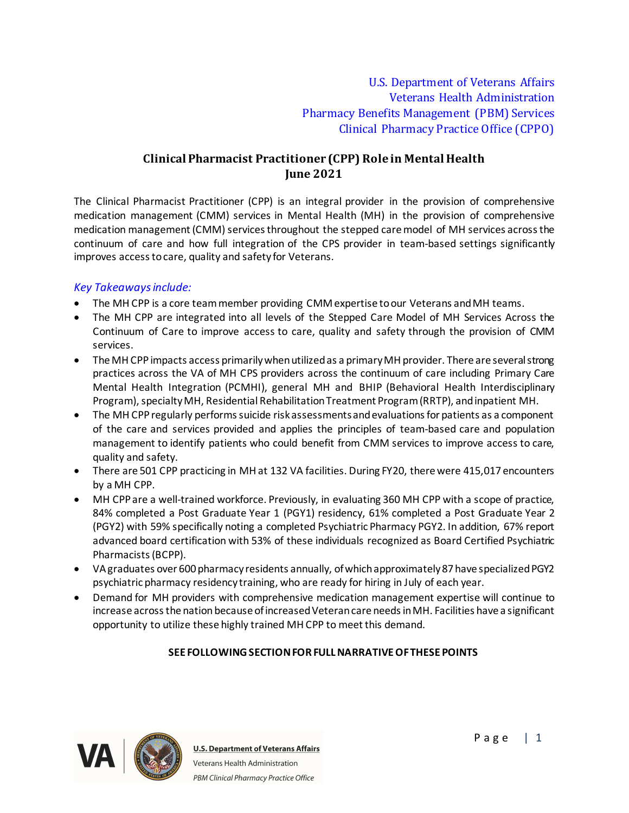U.S. Department of Veterans Affairs Veterans Health Administration Pharmacy Benefits Management (PBM) Services Clinical Pharmacy Practice Office (CPPO)

# **Clinical Pharmacist Practitioner (CPP) Role in Mental Health June 2021**

The Clinical Pharmacist Practitioner (CPP) is an integral provider in the provision of comprehensive medication management (CMM) services in Mental Health (MH) in the provision of comprehensive medication management (CMM) services throughout the stepped care model of MH services across the continuum of care and how full integration of the CPS provider in team-based settings significantly improves access to care, quality and safety for Veterans.

## *Key Takeaways include:*

- The MH CPP is a core team member providing CMM expertise to our Veterans and MH teams.
- The MH CPP are integrated into all levels of the Stepped Care Model of MH Services Across the Continuum of Care to improve access to care, quality and safety through the provision of CMM services.
- · The MH CPPimpacts access primarily when utilized as a primary MH provider. There are several strong practices across the VA of MH CPS providers across the continuum of care including Primary Care Mental Health Integration (PCMHI), general MH and BHIP (Behavioral Health Interdisciplinary Program), specialty MH, Residential Rehabilitation Treatment Program (RRTP), and inpatient MH.
- · The MH CPPregularly performs suicide risk assessments and evaluations for patients as a component of the care and services provided and applies the principles of team-based care and population management to identify patients who could benefit from CMM services to improve access to care, quality and safety.
- There are 501 CPP practicing in MH at 132 VA facilities. During FY20, there were 415,017 encounters by a MH CPP.
- · MH CPPare a well-trained workforce. Previously, in evaluating 360 MH CPP with a scope of practice, 84% completed a Post Graduate Year 1 (PGY1) residency, 61% completed a Post Graduate Year 2 (PGY2) with 59% specifically noting a completed Psychiatric Pharmacy PGY2. In addition, 67% report advanced board certification with 53% of these individuals recognized as Board Certified Psychiatric Pharmacists (BCPP).
- · VA graduates over 600 pharmacy residents annually, of which approximately 87 have specialized PGY2 psychiatric pharmacy residency training, who are ready for hiring in July of each year.
- · Demand for MH providers with comprehensive medication management expertise will continue to increase across the nation because of increased Veteran care needs in MH. Facilities have a significant opportunity to utilize these highly trained MH CPP to meet this demand.

## **SEE FOLLOWING SECTION FOR FULL NARRATIVE OF THESE POINTS**

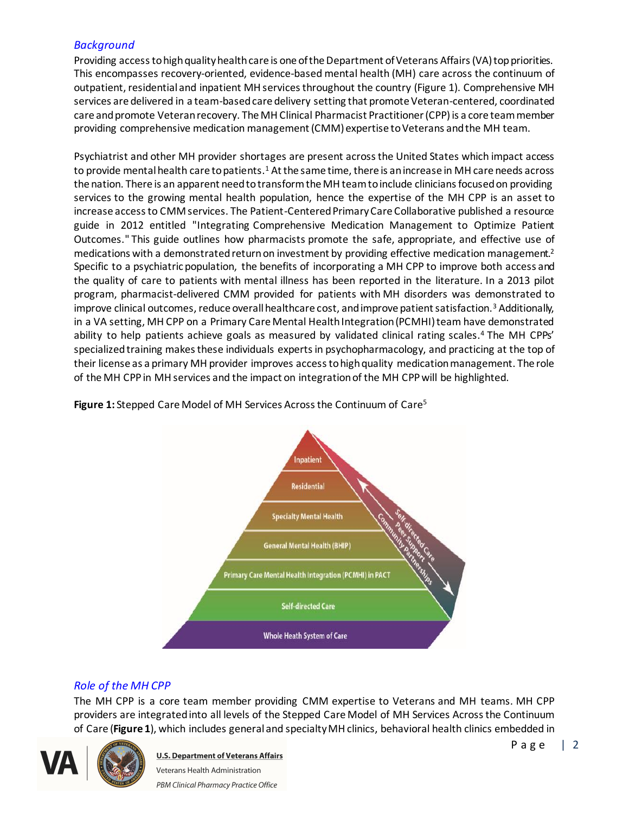## *Background*

Providing access to high quality health care is one of the Department of Veterans Affairs (VA) top priorities. This encompasses recovery-oriented, evidence-based mental health (MH) care across the continuum of outpatient, residential and inpatient MH services throughout the country (Figure 1). Comprehensive MH services are delivered in a team-based care delivery setting that promote Veteran-centered, coordinated care and promote Veteran recovery. The MH Clinical Pharmacist Practitioner (CPP)is a core team member providing comprehensive medication management (CMM) expertise to Veterans and the MH team.

Psychiatrist and other MH provider shortages are present across the United States which impact access to provide mental health care to patients.<sup>1</sup> At the same time, there is an increase in MH care needs across the nation. There is an apparent need to transform the MH team to include clinicians focused on providing services to the growing mental health population, hence the expertise of the MH CPP is an asset to increase access to CMM services. The Patient-Centered Primary Care Collaborative published a resource guide in 2012 entitled "Integrating Comprehensive Medication Management to Optimize Patient Outcomes." This guide outlines how pharmacists promote the safe, appropriate, and effective use of medications with a demonstrated return on investment by providing effective medication management.<sup>2</sup> Specific to a psychiatric population, the benefits of incorporating a MH CPP to improve both access and the quality of care to patients with mental illness has been reported in the literature. In a 2013 pilot program, pharmacist-delivered CMM provided for patients with MH disorders was demonstrated to improve clinical outcomes, reduce overall healthcare cost, and improve patient satisfaction.<sup>3</sup> Additionally, in a VA setting, MH CPP on a Primary Care Mental Health Integration (PCMHI) team have demonstrated ability to help patients achieve goals as measured by validated clinical rating scales.<sup>4</sup> The MH CPPs' specialized training makes these individuals experts in psychopharmacology, and practicing at the top of their license as a primary MH provider improves access to high quality medication management. The role of the MH CPP in MH services and the impact on integration of the MH CPP will be highlighted.

**Figure 1:** Stepped Care Model of MH Services Across the Continuum of Care<sup>5</sup>



## *Role of the MH CPP*

The MH CPP is a core team member providing CMM expertise to Veterans and MH teams. MH CPP providers are integrated into all levels of the Stepped Care Model of MH Services Across the Continuum of Care (**Figure 1**), which includes general and specialty MH clinics, behavioral health clinics embedded in

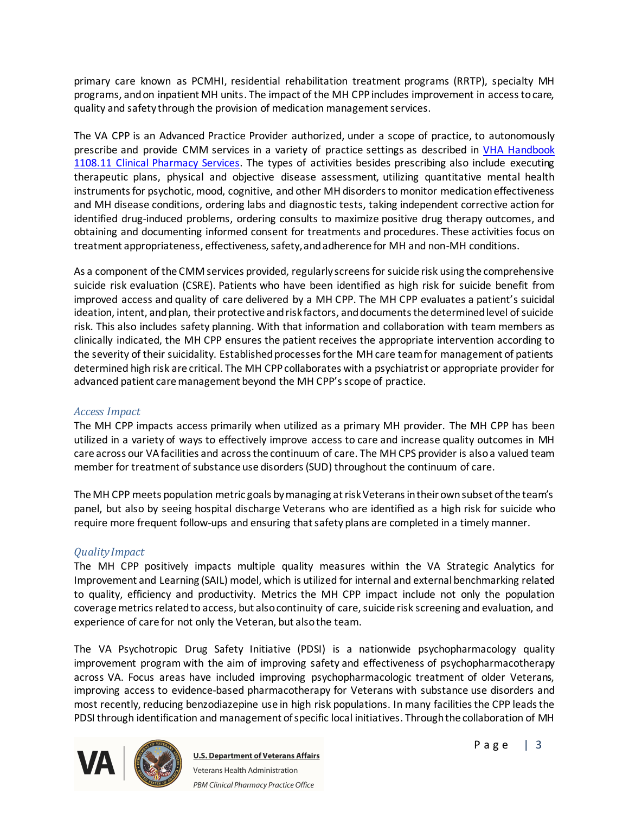primary care known as PCMHI, residential rehabilitation treatment programs (RRTP), specialty MH programs, and on inpatient MH units. The impact of the MH CPP includes improvement in access to care, quality and safety through the provision of medication management services.

The VA CPP is an Advanced Practice Provider authorized, under a scope of practice, to autonomously prescribe and provide CMM services in a variety of practice settings as described in VHA Handbook [1108.11 Clinical Pharmacy Service](http://vaww.va.gov/vhapublications/ViewPublication.asp?pub_ID=3120)s. The types of activities besides prescribing also include executing therapeutic plans, physical and objective disease assessment, utilizing quantitative mental health instruments for psychotic, mood, cognitive, and other MH disorders to monitor medication effectiveness and MH disease conditions, ordering labs and diagnostic tests, taking independent corrective action for identified drug-induced problems, ordering consults to maximize positive drug therapy outcomes, and obtaining and documenting informed consent for treatments and procedures. These activities focus on treatment appropriateness, effectiveness, safety, and adherence for MH and non-MH conditions.

As a component of the CMM services provided, regularly screens for suicide risk using the comprehensive suicide risk evaluation (CSRE). Patients who have been identified as high risk for suicide benefit from improved access and quality of care delivered by a MH CPP. The MH CPP evaluates a patient's suicidal ideation, intent, and plan, their protective and risk factors, and documents the determined level of suicide risk. This also includes safety planning. With that information and collaboration with team members as clinically indicated, the MH CPP ensures the patient receives the appropriate intervention according to the severity of their suicidality. Established processes for the MH care team for management of patients determined high risk are critical. The MH CPPcollaborates with a psychiatrist or appropriate provider for advanced patient care management beyond the MH CPP'sscope of practice.

## *Access Impact*

The MH CPP impacts access primarily when utilized as a primary MH provider. The MH CPP has been utilized in a variety of ways to effectively improve access to care and increase quality outcomes in MH care across our VA facilities and across the continuum of care. The MH CPS provider is also a valued team member for treatment of substance use disorders (SUD) throughout the continuum of care.

The MH CPP meets population metric goals by managing at risk Veterans in their own subset of the team's panel, but also by seeing hospital discharge Veterans who are identified as a high risk for suicide who require more frequent follow-ups and ensuring that safety plans are completed in a timely manner.

## *Quality Impact*

The MH CPP positively impacts multiple quality measures within the VA Strategic Analytics for Improvement and Learning (SAIL) model, which is utilized for internal and external benchmarking related to quality, efficiency and productivity. Metrics the MH CPP impact include not only the population coverage metrics related to access, but also continuity of care, suicide risk screening and evaluation, and experience of care for not only the Veteran, but also the team.

The VA Psychotropic Drug Safety Initiative (PDSI) is a nationwide psychopharmacology quality improvement program with the aim of improving safety and effectiveness of psychopharmacotherapy across VA. Focus areas have included improving psychopharmacologic treatment of older Veterans, improving access to evidence-based pharmacotherapy for Veterans with substance use disorders and most recently, reducing benzodiazepine use in high risk populations. In many facilities the CPP leads the PDSI through identification and management of specific local initiatives. Through the collaboration of MH

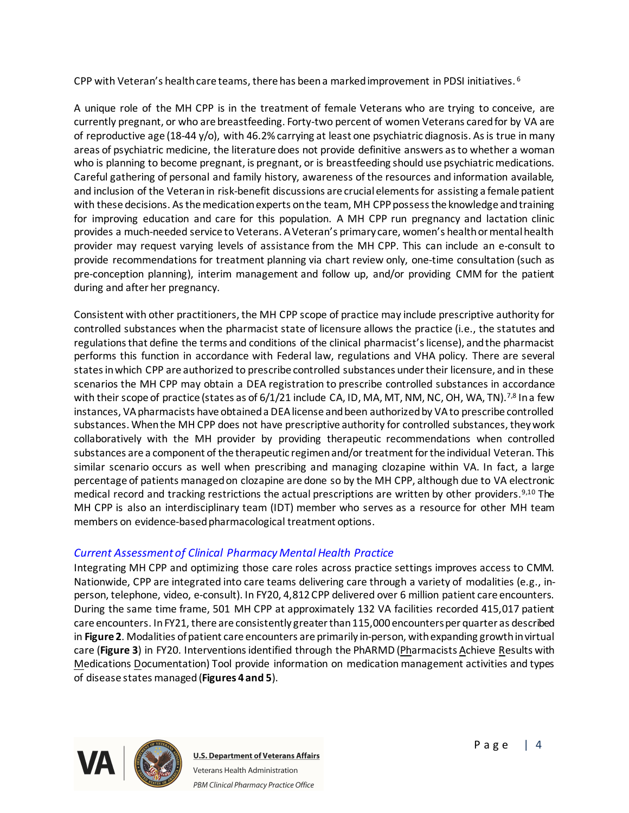CPP with Veteran's health care teams, there has been a marked improvement in PDSI initiatives. <sup>6</sup>

A unique role of the MH CPP is in the treatment of female Veterans who are trying to conceive, are currently pregnant, or who are breastfeeding. Forty-two percent of women Veterans cared for by VA are of reproductive age (18-44 y/o), with 46.2% carrying at least one psychiatric diagnosis. As is true in many areas of psychiatric medicine, the literature does not provide definitive answers as to whether a woman who is planning to become pregnant, is pregnant, or is breastfeeding should use psychiatric medications. Careful gathering of personal and family history, awareness of the resources and information available, and inclusion of the Veteran in risk-benefit discussions are crucial elements for assisting a female patient with these decisions. As the medication experts on the team, MH CPP possess the knowledge and training for improving education and care for this population. A MH CPP run pregnancy and lactation clinic provides a much-needed service to Veterans. A Veteran's primary care, women's health or mental health provider may request varying levels of assistance from the MH CPP. This can include an e-consult to provide recommendations for treatment planning via chart review only, one-time consultation (such as pre-conception planning), interim management and follow up, and/or providing CMM for the patient during and after her pregnancy.

Consistent with other practitioners, the MH CPP scope of practice may include prescriptive authority for controlled substances when the pharmacist state of licensure allows the practice (i.e., the statutes and regulations that define the terms and conditions of the clinical pharmacist's license), and the pharmacist performs this function in accordance with Federal law, regulations and VHA policy. There are several states in which CPP are authorized to prescribe controlled substances under their licensure, and in these scenarios the MH CPP may obtain a DEA registration to prescribe controlled substances in accordance with their scope of practice (states as of  $6/1/21$  include CA, ID, MA, MT, NM, NC, OH, WA, TN).<sup>7,8</sup> In a few instances, VA pharmacists have obtained a DEA license and been authorized by VA to prescribe controlled substances. When the MH CPP does not have prescriptive authority for controlled substances, they work collaboratively with the MH provider by providing therapeutic recommendations when controlled substances are a component of the therapeutic regimen and/or treatment for the individual Veteran. This similar scenario occurs as well when prescribing and managing clozapine within VA. In fact, a large percentage of patients managed on clozapine are done so by the MH CPP, although due to VA electronic medical record and tracking restrictions the actual prescriptions are written by other providers.<sup>9,10</sup> The MH CPP is also an interdisciplinary team (IDT) member who serves as a resource for other MH team members on evidence-based pharmacological treatment options.

## *Current Assessment of Clinical Pharmacy Mental Health Practice*

Integrating MH CPP and optimizing those care roles across practice settings improves access to CMM. Nationwide, CPP are integrated into care teams delivering care through a variety of modalities (e.g., inperson, telephone, video, e-consult). In FY20, 4,812 CPP delivered over 6 million patient care encounters. During the same time frame, 501 MH CPP at approximately 132 VA facilities recorded 415,017 patient care encounters. In FY21, there are consistently greater than 115,000 encounters per quarter as described in **Figure 2**. Modalities of patient care encounters are primarily in-person, with expanding growth in virtual care (**Figure 3**) in FY20. Interventions identified through the PhARMD (Pharmacists Achieve Results with Medications Documentation) Tool provide information on medication management activities and types of disease states managed (**Figures 4 and 5**).

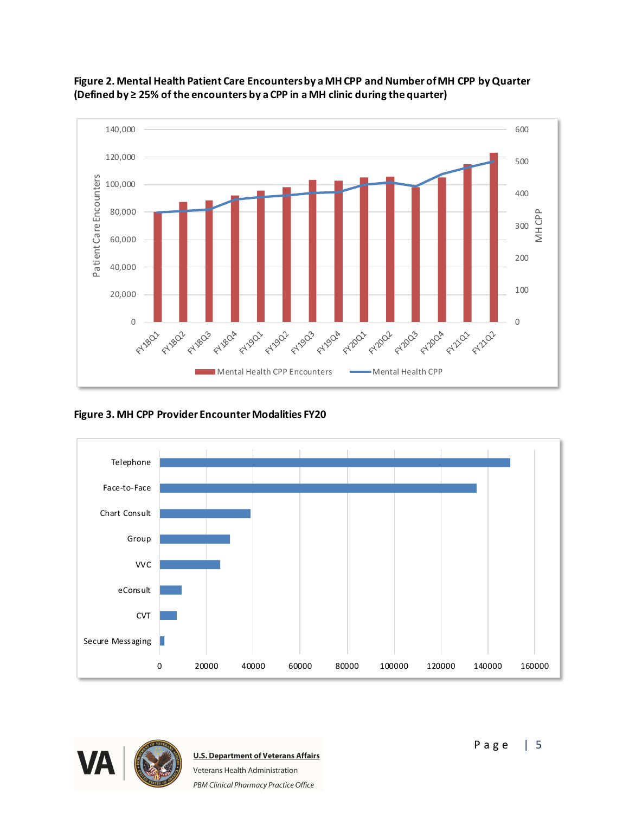



**Figure 3. MH CPP Provider Encounter Modalities FY20**



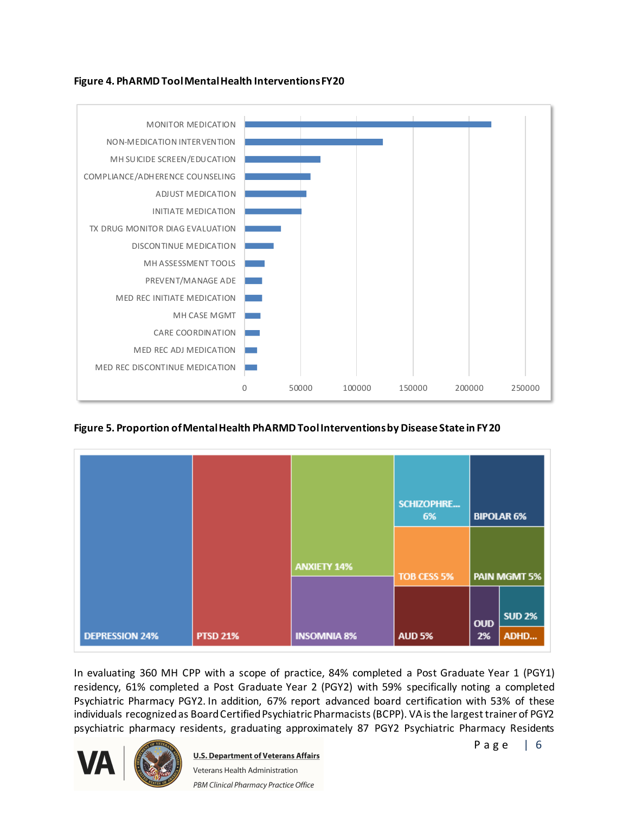## **Figure 4. PhARMD Tool Mental Health Interventions FY20**



## **Figure 5. Proportion of Mental Health PhARMD Tool Interventions by Disease State in FY20**

|                       |                 |                    | SCHIZOPHRE<br>6% | <b>BIPOLAR 6%</b><br><b>PAIN MGMT 5%</b> |                       |
|-----------------------|-----------------|--------------------|------------------|------------------------------------------|-----------------------|
|                       |                 | <b>ANXIETY 14%</b> | TOB CESS 5%      |                                          |                       |
| <b>DEPRESSION 24%</b> | <b>PTSD 21%</b> | <b>INSOMNIA 8%</b> | <b>AUD 5%</b>    | <b>OUD</b><br>2%                         | <b>SUD 2%</b><br>ADHD |

In evaluating 360 MH CPP with a scope of practice, 84% completed a Post Graduate Year 1 (PGY1) residency, 61% completed a Post Graduate Year 2 (PGY2) with 59% specifically noting a completed Psychiatric Pharmacy PGY2. In addition, 67% report advanced board certification with 53% of these individuals recognized as Board Certified Psychiatric Pharmacists (BCPP). VA is the largest trainer of PGY2 psychiatric pharmacy residents, graduating approximately 87 PGY2 Psychiatric Pharmacy Residents

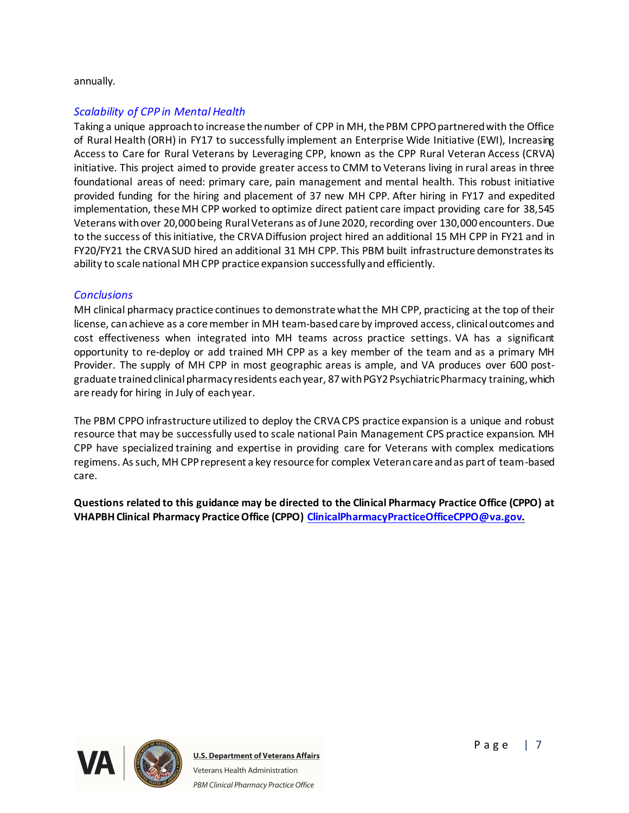#### annually.

## *Scalability of CPP in Mental Health*

Taking a unique approach to increase the number of CPP in MH, the PBM CPPO partnered with the Office of Rural Health (ORH) in FY17 to successfully implement an Enterprise Wide Initiative (EWI), Increasing Access to Care for Rural Veterans by Leveraging CPP, known as the CPP Rural Veteran Access (CRVA) initiative. This project aimed to provide greater access to CMM to Veterans living in rural areas in three foundational areas of need: primary care, pain management and mental health. This robust initiative provided funding for the hiring and placement of 37 new MH CPP. After hiring in FY17 and expedited implementation, these MH CPP worked to optimize direct patient care impact providing care for 38,545 Veterans with over 20,000 being Rural Veterans as of June 2020, recording over 130,000 encounters. Due to the success of this initiative, the CRVA Diffusion project hired an additional 15 MH CPP in FY21 and in FY20/FY21 the CRVA SUD hired an additional 31 MH CPP. This PBM built infrastructure demonstrates its ability to scale national MH CPP practice expansion successfully and efficiently.

## *Conclusions*

MH clinical pharmacy practice continues to demonstrate what the MH CPP, practicing at the top of their license, can achieve as a core member in MH team-based care by improved access, clinical outcomes and cost effectiveness when integrated into MH teams across practice settings. VA has a significant opportunity to re-deploy or add trained MH CPP as a key member of the team and as a primary MH Provider. The supply of MH CPP in most geographic areas is ample, and VA produces over 600 postgraduate trained clinical pharmacy residents each year, 87 with PGY2 Psychiatric Pharmacy training, which are ready for hiring in July of each year.

The PBM CPPO infrastructure utilized to deploy the CRVA CPS practice expansion is a unique and robust resource that may be successfully used to scale national Pain Management CPS practice expansion. MH CPP have specialized training and expertise in providing care for Veterans with complex medications regimens. As such, MH CPPrepresent a key resource for complex Veteran care and as part of team-based care.

**Questions related to this guidance may be directed to the Clinical Pharmacy Practice Office (CPPO) at VHAPBH Clinical Pharmacy Practice Office (CPPO) [ClinicalPharmacyPracticeOfficeCPPO@va.gov](mailto:ClinicalPharmacyPracticeOfficeCPPO@va.gov).**